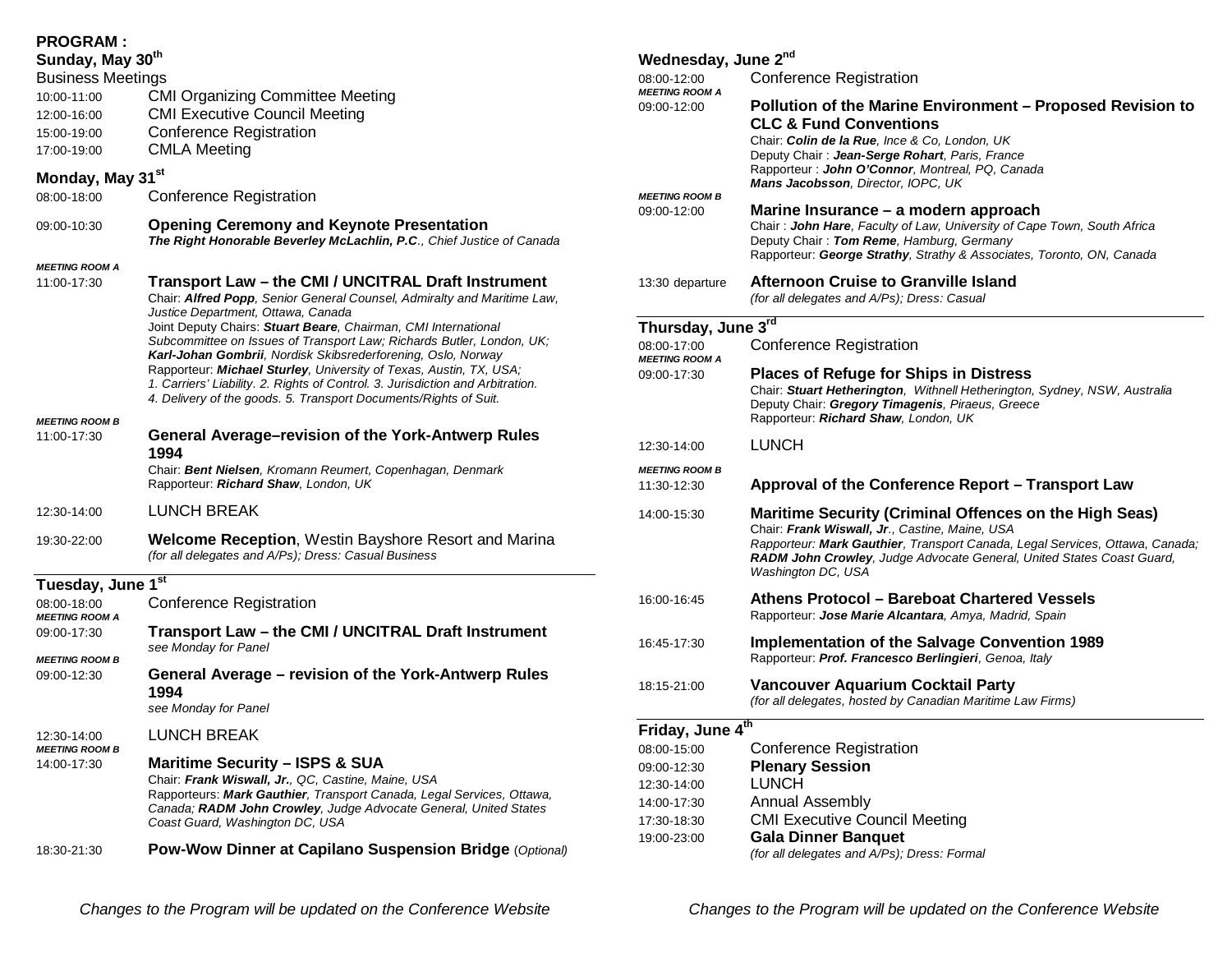### **PROGRAM :**

**Sunday, May 30th** Business Meetings

| <b>DUSINESS IVIGGILIUS</b> |                                         |
|----------------------------|-----------------------------------------|
| 10:00-11:00                | <b>CMI Organizing Committee Meeting</b> |
| 12:00-16:00                | <b>CMI Executive Council Meeting</b>    |
| 15:00-19:00                | Conference Registration                 |
| 17:00-19:00                | <b>CMLA Meeting</b>                     |

| Monday, May 31st                                          |                                                                                                                                                                                                                                                                                                                                                                                                                                                                                                                                                                                                             |  |  |
|-----------------------------------------------------------|-------------------------------------------------------------------------------------------------------------------------------------------------------------------------------------------------------------------------------------------------------------------------------------------------------------------------------------------------------------------------------------------------------------------------------------------------------------------------------------------------------------------------------------------------------------------------------------------------------------|--|--|
| 08:00-18:00                                               | <b>Conference Registration</b>                                                                                                                                                                                                                                                                                                                                                                                                                                                                                                                                                                              |  |  |
| 09:00-10:30                                               | <b>Opening Ceremony and Keynote Presentation</b><br>The Right Honorable Beverley McLachlin, P.C., Chief Justice of Canada                                                                                                                                                                                                                                                                                                                                                                                                                                                                                   |  |  |
| MEETING ROOM A<br>11:00-17:30                             | Transport Law – the CMI / UNCITRAL Draft Instrument<br>Chair: Alfred Popp, Senior General Counsel, Admiralty and Maritime Law,<br>Justice Department, Ottawa, Canada<br>Joint Deputy Chairs: Stuart Beare, Chairman, CMI International<br>Subcommittee on Issues of Transport Law; Richards Butler, London, UK;<br>Karl-Johan Gombrii, Nordisk Skibsrederforening, Oslo, Norway<br>Rapporteur: Michael Sturley, University of Texas, Austin, TX, USA;<br>1. Carriers' Liability. 2. Rights of Control. 3. Jurisdiction and Arbitration.<br>4. Delivery of the goods. 5. Transport Documents/Rights of Suit. |  |  |
| <b>MEETING ROOM B</b><br>11:00-17:30                      | General Average-revision of the York-Antwerp Rules<br>1994<br>Chair: Bent Nielsen, Kromann Reumert, Copenhagan, Denmark<br>Rapporteur: Richard Shaw, London, UK                                                                                                                                                                                                                                                                                                                                                                                                                                             |  |  |
| 12:30-14:00                                               | <b>LUNCH BREAK</b>                                                                                                                                                                                                                                                                                                                                                                                                                                                                                                                                                                                          |  |  |
| 19:30-22:00                                               | <b>Welcome Reception, Westin Bayshore Resort and Marina</b><br>(for all delegates and A/Ps); Dress: Casual Business                                                                                                                                                                                                                                                                                                                                                                                                                                                                                         |  |  |
| Tuesday, June 1st<br>08:00-18:00<br><b>MEETING ROOM A</b> | <b>Conference Registration</b>                                                                                                                                                                                                                                                                                                                                                                                                                                                                                                                                                                              |  |  |
| 09:00-17:30                                               | Transport Law - the CMI / UNCITRAL Draft Instrument<br>see Monday for Panel                                                                                                                                                                                                                                                                                                                                                                                                                                                                                                                                 |  |  |
| <b>MEETING ROOM B</b><br>09:00-12:30                      | General Average – revision of the York-Antwerp Rules<br>1994<br>see Monday for Panel                                                                                                                                                                                                                                                                                                                                                                                                                                                                                                                        |  |  |
| 12:30-14:00<br><b>MEETING ROOM B</b><br>14:00-17:30       | <b>LUNCH BREAK</b>                                                                                                                                                                                                                                                                                                                                                                                                                                                                                                                                                                                          |  |  |
|                                                           | <b>Maritime Security - ISPS &amp; SUA</b><br>Chair: Frank Wiswall, Jr., QC, Castine, Maine, USA<br>Rapporteurs: Mark Gauthier, Transport Canada, Legal Services, Ottawa,<br>Canada; RADM John Crowley, Judge Advocate General, United States<br>Coast Guard, Washington DC, USA                                                                                                                                                                                                                                                                                                                             |  |  |
| 18:30-21:30                                               | Pow-Wow Dinner at Capilano Suspension Bridge (Optional)                                                                                                                                                                                                                                                                                                                                                                                                                                                                                                                                                     |  |  |

#### **Wednesday, June 2nd**

14:00-17:30 Annual Assembly

19:00-23:00 **Gala Dinner Banquet**

17:30-18:30 CMI Executive Council Meeting

08:00-12:00 Conference Registration *MEETING ROOM A* 09:00-12:00 **Pollution of the Marine Environment – Proposed Revision to CLC & Fund Conventions** Chair: *Colin de la Rue, Ince & Co, London, UK* Deputy Chair : *Jean-Serge Rohart, Paris, France* Rapporteur : *John O'Connor, Montreal, PQ, Canada Mans Jacobsson, Director, IOPC, UK MEETING ROOM B* 09:00-12:00 **Marine Insurance – a modern approach** Chair : *John Hare, Faculty of Law, University of Cape Town, South Africa* Deputy Chair : *Tom Reme, Hamburg, Germany* Rapporteur: *George Strathy, Strathy & Associates, Toronto, ON, Canada* 13:30 departure **Afternoon Cruise to Granville Island** *(for all delegates and A/Ps); Dress: Casual* **Thursday, June 3rd** 08:00-17:00 Conference Registration *MEETING ROOM A* 09:00-17:30 **Places of Refuge for Ships in Distress** Chair: *Stuart Hetherington, Withnell Hetherington, Sydney, NSW, Australia* Deputy Chair: *Gregory Timagenis, Piraeus, Greece* Rapporteur: *Richard Shaw, London, UK* 12:30-14:00 LUNCH *MEETING ROOM B* 11:30-12:30 **Approval of the Conference Report – Transport Law** 14:00-15:30 **Maritime Security (Criminal Offences on the High Seas)** Chair: *Frank Wiswall, Jr., Castine, Maine, USA Rapporteur: Mark Gauthier, Transport Canada, Legal Services, Ottawa, Canada; RADM John Crowley, Judge Advocate General, United States Coast Guard, Washington DC, USA* 16:00-16:45 **Athens Protocol – Bareboat Chartered Vessels** Rapporteur: *Jose Marie Alcantara, Amya, Madrid, Spain* 16:45-17:30 **Implementation of the Salvage Convention 1989** Rapporteur: *Prof. Francesco Berlingieri, Genoa, Italy* 18:15-21:00 **Vancouver Aquarium Cocktail Party**  *(for all delegates, hosted by Canadian Maritime Law Firms)* **Friday, June 4th** 08:00-15:00 Conference Registration 09:00-12:30 **Plenary Session** 12:30-14:00 LUNCH

*(for all delegates and A/Ps); Dress: Formal*